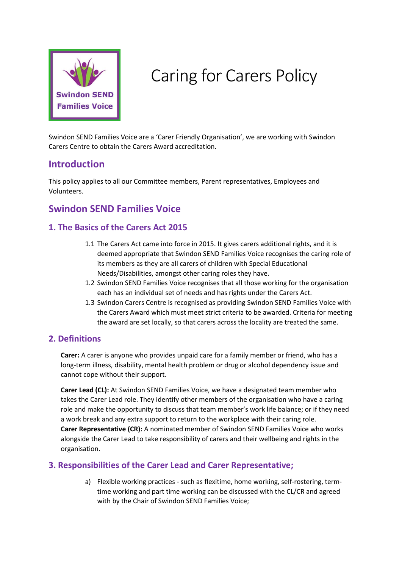

# Caring for Carers Policy

Swindon SEND Families Voice are a 'Carer Friendly Organisation', we are working with Swindon Carers Centre to obtain the Carers Award accreditation.

### **Introduction**

This policy applies to all our Committee members, Parent representatives, Employees and Volunteers.

## **Swindon SEND Families Voice**

#### **1. The Basics of the Carers Act 2015**

- 1.1 The Carers Act came into force in 2015. It gives carers additional rights, and it is deemed appropriate that Swindon SEND Families Voice recognises the caring role of its members as they are all carers of children with Special Educational Needs/Disabilities, amongst other caring roles they have.
- 1.2 Swindon SEND Families Voice recognises that all those working for the organisation each has an individual set of needs and has rights under the Carers Act.
- 1.3 Swindon Carers Centre is recognised as providing Swindon SEND Families Voice with the Carers Award which must meet strict criteria to be awarded. Criteria for meeting the award are set locally, so that carers across the locality are treated the same.

#### **2. Definitions**

**Carer:** A carer is anyone who provides unpaid care for a family member or friend, who has a long-term illness, disability, mental health problem or drug or alcohol dependency issue and cannot cope without their support.

**Carer Lead (CL):** At Swindon SEND Families Voice, we have a designated team member who takes the Carer Lead role. They identify other members of the organisation who have a caring role and make the opportunity to discuss that team member's work life balance; or if they need a work break and any extra support to return to the workplace with their caring role. **Carer Representative (CR):** A nominated member of Swindon SEND Families Voice who works alongside the Carer Lead to take responsibility of carers and their wellbeing and rights in the organisation.

#### **3. Responsibilities of the Carer Lead and Carer Representative;**

a) Flexible working practices - such as flexitime, home working, self-rostering, termtime working and part time working can be discussed with the CL/CR and agreed with by the Chair of Swindon SEND Families Voice;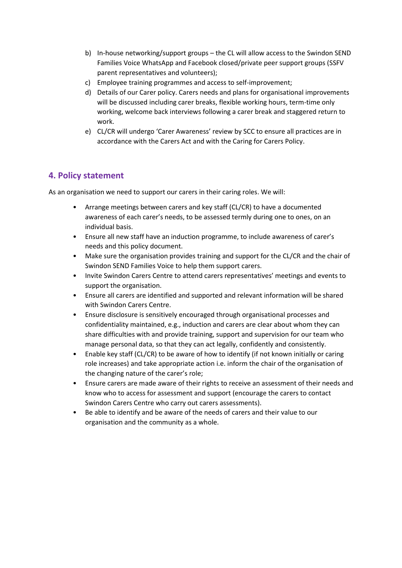- b) In-house networking/support groups the CL will allow access to the Swindon SEND Families Voice WhatsApp and Facebook closed/private peer support groups (SSFV parent representatives and volunteers);
- c) Employee training programmes and access to self-improvement;
- d) Details of our Carer policy. Carers needs and plans for organisational improvements will be discussed including carer breaks, flexible working hours, term-time only working, welcome back interviews following a carer break and staggered return to work.
- e) CL/CR will undergo 'Carer Awareness' review by SCC to ensure all practices are in accordance with the Carers Act and with the Caring for Carers Policy.

#### **4. Policy statement**

As an organisation we need to support our carers in their caring roles. We will:

- Arrange meetings between carers and key staff (CL/CR) to have a documented awareness of each carer's needs, to be assessed termly during one to ones, on an individual basis.
- Ensure all new staff have an induction programme, to include awareness of carer's needs and this policy document.
- Make sure the organisation provides training and support for the CL/CR and the chair of Swindon SEND Families Voice to help them support carers.
- Invite Swindon Carers Centre to attend carers representatives' meetings and events to support the organisation.
- Ensure all carers are identified and supported and relevant information will be shared with Swindon Carers Centre.
- Ensure disclosure is sensitively encouraged through organisational processes and confidentiality maintained, e.g., induction and carers are clear about whom they can share difficulties with and provide training, support and supervision for our team who manage personal data, so that they can act legally, confidently and consistently.
- Enable key staff (CL/CR) to be aware of how to identify (if not known initially or caring role increases) and take appropriate action i.e. inform the chair of the organisation of the changing nature of the carer's role;
- Ensure carers are made aware of their rights to receive an assessment of their needs and know who to access for assessment and support (encourage the carers to contact Swindon Carers Centre who carry out carers assessments).
- Be able to identify and be aware of the needs of carers and their value to our organisation and the community as a whole.